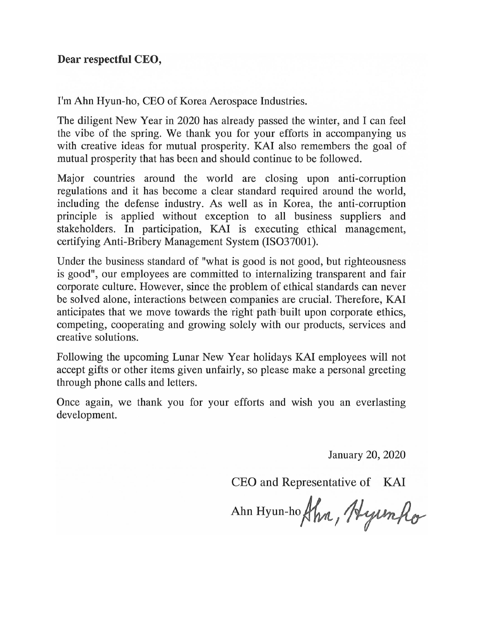I'm Ahn Hyun-ho, CEO of Korea Aerospace Industries.

The diligent New Year in 2020 has already passed the winter, and I can feel the vibe of the spring. We thank you for your efforts in accompanying us with creative ideas for mutual prosperity. KAI also remembers the goal of mutual prosperity that has been and should continue to be followed.

Major countries around the world are closing upon anti-corruption regulations and it has become a clear standard required around the world, including the defense industry. As well as in Korea, the anti-corruption principle is applied without exception to all business suppliers and stakeholders. In participation, KAI is executing ethical management, certifying Anti-Bribery Management System (ISO37001).

Under the business standard of "what is good is not good, but righteousness" is good", our employees are committed to internalizing transparent and fair corporate culture. However, since the problem of ethical standards can never be solved alone, interactions between companies are crucial. Therefore, KAI anticipates that we move towards the right path built upon corporate ethics, competing, cooperating and growing solely with our products, services and creative solutions.

Following the upcoming Lunar New Year holidays KAI employees will not accept gifts or other items given unfairly, so please make a personal greeting through phone calls and letters.

Once again, we thank you for your efforts and wish you an everlasting development.

January 20, 2020

CEO and Representative of KAI

Ahn Hyun-hoftha, Hyunho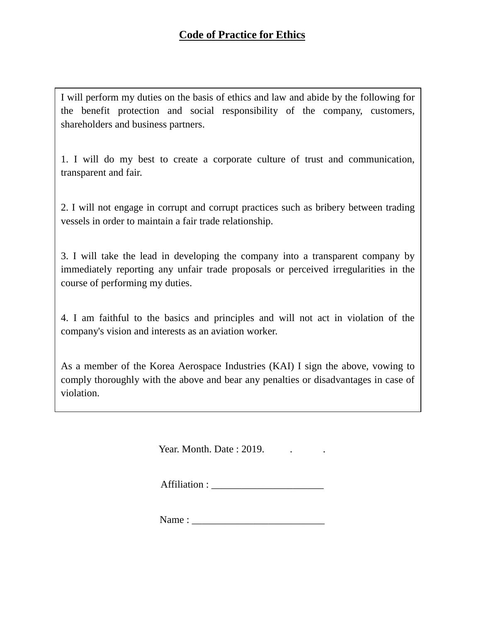I will perform my duties on the basis of ethics and law and abide by the following for the benefit protection and social responsibility of the company, customers, shareholders and business partners.

1. I will do my best to create a corporate culture of trust and communication, transparent and fair.

2. I will not engage in corrupt and corrupt practices such as bribery between trading vessels in order to maintain a fair trade relationship.

3. I will take the lead in developing the company into a transparent company by immediately reporting any unfair trade proposals or perceived irregularities in the course of performing my duties.

4. I am faithful to the basics and principles and will not act in violation of the company's vision and interests as an aviation worker.

As a member of the Korea Aerospace Industries (KAI) I sign the above, vowing to comply thoroughly with the above and bear any penalties or disadvantages in case of violation.

Year. Month. Date: 2019.

Affiliation :

Name : \_\_\_\_\_\_\_\_\_\_\_\_\_\_\_\_\_\_\_\_\_\_\_\_\_\_